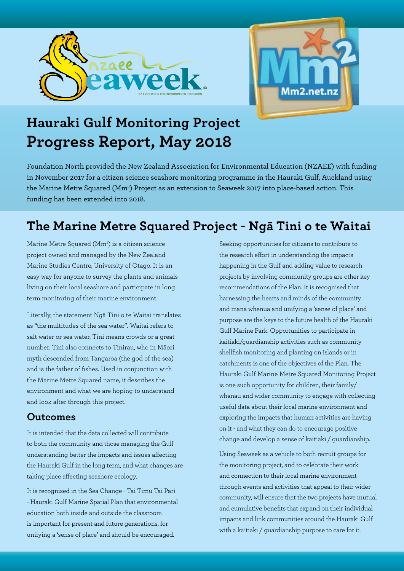



# **Hauraki Gulf Monitoring Project Progress Report, May 2018**

Foundation North provided the New Zealand Association for Environmental Education (NZAEE) with funding in November 2017 for a citizen science seashore monitoring programme in the Hauraki Gulf, Auckland using the Marine Metre Squared (Mm<sup>2</sup>) Project as an extension to Seaweek 2017 into place-based action. This funding has been extended into 2018.

## **The Marine Metre Squared Project - Ngā Tini o te Waitai**

Marine Metre Squared (Mm<sup>2</sup>) is a citizen science project owned and managed by the New Zealand Marine Studies Centre, University of Otago. It is an easy way for anyone to survey the plants and animals living on their local seashore and participate in long term monitoring of their marine environment.

Literally, the statement Ngā Tini o te Waitai translates as "the multitudes of the sea water". Waitai refers to salt water or sea water. Tini means crowds or a great number. Tini also connects to Tinirau, who in Māori myth descended from Tangaroa (the god of the sea) and is the father of fishes. Used in conjunction with the Marine Metre Squared name, it describes the environment and what we are hoping to understand and look after through this project.

#### **Outcomes**

It is intended that the data collected will contribute to both the community and those managing the Gulf understanding better the impacts and issues affecting the Hauraki Gulf in the long term, and what changes are taking place affecting seashore ecology.

It is recognised in the Sea Change - Tai Timu Tai Pari - Hauraki Gulf Marine Spatial Plan that environmental education both inside and outside the classroom is important for present and future generations, for unifying a 'sense of place' and should be encouraged.

Seeking opportunities for citizens to contribute to the research effort in understanding the impacts happening in the Gulf and adding value to research projects by involving community groups are other key recommendations of the Plan. It is recognised that harnessing the hearts and minds of the community and mana whenua and unifying a 'sense of place' and purpose are the keys to the future health of the Hauraki Gulf Marine Park. Opportunities to participate in kaitiaki/guardianship activities such as community shellfish monitoring and planting on islands or in catchments is one of the objectives of the Plan. The Hauraki Gulf Marine Metre Squared Monitoring Project is one such opportunity for children, their family/ whanau and wider community to engage with collecting useful data about their local marine environment and exploring the impacts that human activities are having on it - and what they can do to encourage positive change and develop a sense of kaitiaki / guardianship.

Using Seaweek as a vehicle to both recruit groups for the monitoring project, and to celebrate their work and connection to their local marine environment through events and activities that appeal to their wider community, will ensure that the two projects have mutual and cumulative benefits that expand on their individual impacts and link communities around the Hauraki Gulf with a kaitiaki / guardianship purpose to care for it.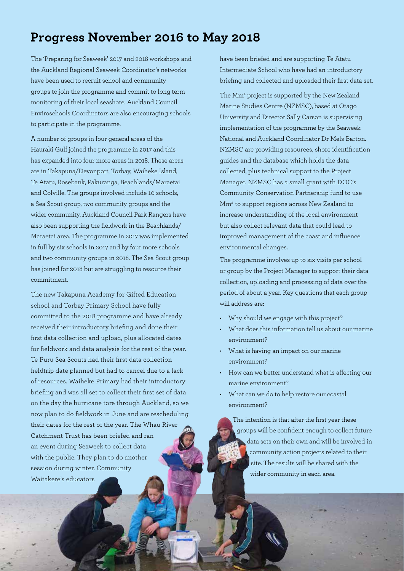## **Progress November 2016 to May 2018**

The 'Preparing for Seaweek' 2017 and 2018 workshops and the Auckland Regional Seaweek Coordinator's networks have been used to recruit school and community groups to join the programme and commit to long term monitoring of their local seashore. Auckland Council Enviroschools Coordinators are also encouraging schools to participate in the programme.

A number of groups in four general areas of the Hauraki Gulf joined the programme in 2017 and this has expanded into four more areas in 2018. These areas are in Takapuna/Devonport, Torbay, Waiheke Island, Te Atatu, Rosebank, Pakuranga, Beachlands/Maraetai and Colville. The groups involved include 10 schools, a Sea Scout group, two community groups and the wider community. Auckland Council Park Rangers have also been supporting the fieldwork in the Beachlands/ Maraetai area. The programme in 2017 was implemented in full by six schools in 2017 and by four more schools and two community groups in 2018. The Sea Scout group has joined for 2018 but are struggling to resource their commitment.

The new Takapuna Academy for Gifted Education school and Torbay Primary School have fully committed to the 2018 programme and have already received their introductory briefing and done their first data collection and upload, plus allocated dates for fieldwork and data analysis for the rest of the year. Te Puru Sea Scouts had their first data collection fieldtrip date planned but had to cancel due to a lack of resources. Waiheke Primary had their introductory briefing and was all set to collect their first set of data on the day the hurricane tore through Auckland, so we now plan to do fieldwork in June and are rescheduling their dates for the rest of the year. The Whau River Catchment Trust has been briefed and ran an event during Seaweek to collect data with the public. They plan to do another session during winter. Community Waitakere's educators

have been briefed and are supporting Te Atatu Intermediate School who have had an introductory briefing and collected and uploaded their first data set.

The Mm<sup>2</sup> project is supported by the New Zealand Marine Studies Centre (NZMSC), based at Otago University and Director Sally Carson is supervising implementation of the programme by the Seaweek National and Auckland Coordinator Dr Mels Barton. NZMSC are providing resources, shore identification guides and the database which holds the data collected, plus technical support to the Project Manager. NZMSC has a small grant with DOC's Community Conservation Partnership fund to use Mm2 to support regions across New Zealand to increase understanding of the local environment but also collect relevant data that could lead to improved management of the coast and influence environmental changes.

The programme involves up to six visits per school or group by the Project Manager to support their data collection, uploading and processing of data over the period of about a year. Key questions that each group will address are:

- Why should we engage with this project?
- What does this information tell us about our marine environment?
- What is having an impact on our marine environment?
- How can we better understand what is affecting our marine environment?
- What can we do to help restore our coastal environment?

The intention is that after the first year these groups will be confident enough to collect future data sets on their own and will be involved in community action projects related to their site. The results will be shared with the wider community in each area.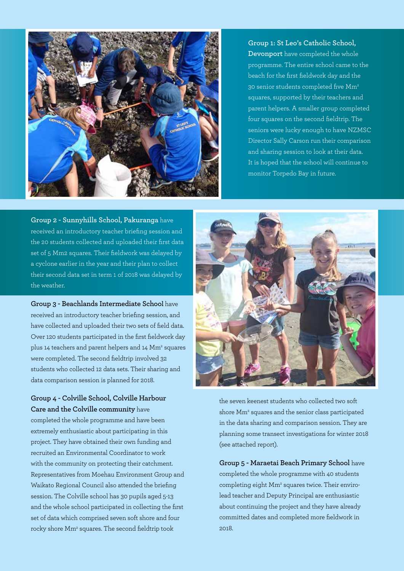

#### **Group 1: St Leo's Catholic School, Devonport** have completed the whole programme. The entire school came to the beach for the first fieldwork day and the 30 senior students completed five Mm2 squares, supported by their teachers and parent helpers. A smaller group completed four squares on the second fieldtrip. The seniors were lucky enough to have NZMSC Director Sally Carson run their comparison and sharing session to look at their data. It is hoped that the school will continue to monitor Torpedo Bay in future.

**Group 2 - Sunnyhills School, Pakuranga** have received an introductory teacher briefing session and the 20 students collected and uploaded their first data set of 5 Mm2 squares. Their fieldwork was delayed by a cyclone earlier in the year and their plan to collect their second data set in term 1 of 2018 was delayed by the weather.

**Group 3 - Beachlands Intermediate School** have received an introductory teacher briefing session, and have collected and uploaded their two sets of field data. Over 120 students participated in the first fieldwork day plus 14 teachers and parent helpers and 14 Mm<sup>2</sup> squares were completed. The second fieldtrip involved 32 students who collected 12 data sets. Their sharing and data comparison session is planned for 2018.

**Group 4 - Colville School, Colville Harbour Care and the Colville community** have

completed the whole programme and have been extremely enthusiastic about participating in this project. They have obtained their own funding and recruited an Environmental Coordinator to work with the community on protecting their catchment. Representatives from Moehau Environment Group and Waikato Regional Council also attended the briefing session. The Colville school has 30 pupils aged 5-13 and the whole school participated in collecting the first set of data which comprised seven soft shore and four rocky shore Mm<sup>2</sup> squares. The second fieldtrip took



the seven keenest students who collected two soft shore Mm<sup>2</sup> squares and the senior class participated in the data sharing and comparison session. They are planning some transect investigations for winter 2018 (see attached report).

**Group 5 - Maraetai Beach Primary School** have completed the whole programme with 40 students completing eight Mm<sup>2</sup> squares twice. Their envirolead teacher and Deputy Principal are enthusiastic about continuing the project and they have already committed dates and completed more fieldwork in  $2018$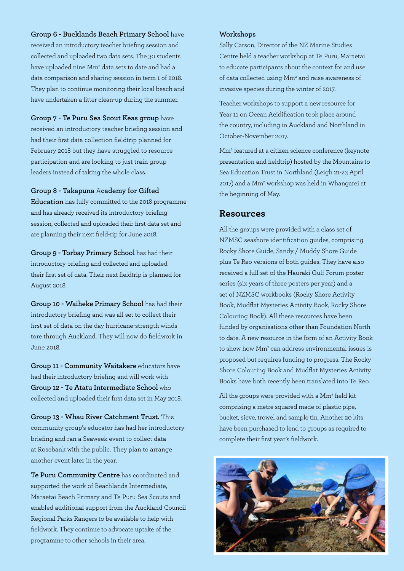**Group 6 - Bucklands Beach Primary School** have

received an introductory teacher briefing session and collected and uploaded two data sets. The 30 students have uploaded nine Mm<sup>2</sup> data sets to date and had a data comparison and sharing session in term 1 of 2018. They plan to continue monitoring their local beach and have undertaken a litter clean-up during the summer.

**Group 7 - Te Puru Sea Scout Keas group** have

received an introductory teacher briefing session and had their first data collection fieldtrip planned for February 2018 but they have struggled to resource participation and are looking to just train group leaders instead of taking the whole class.

**Group 8 - Takapuna** A**cademy for Gifted** 

**Education** has fully committed to the 2018 programme and has already received its introductory briefing session, collected and uploaded their first data set and are planning their next field-rip for June 2018.

**Group 9 - Torbay Primary School** has had their introductory briefing and collected and uploaded their first set of data. Their next fieldtrip is planned for August 2018.

**Group 10 - Waiheke Primary School** has had their introductory briefing and was all set to collect their first set of data on the day hurricane-strength winds tore through Auckland. They will now do fieldwork in June 2018.

**Group 11 - Community Waitakere** educators have had their introductory briefing and will work with **Group 12 - Te Atatu Intermediate School** who collected and uploaded their first data set in May 2018.

**Group 13 - Whau River Catchment Trust.** This community group's educator has had her introductory briefing and ran a Seaweek event to collect data at Rosebank with the public. They plan to arrange another event later in the year.

**Te Puru Community Centre** has coordinated and supported the work of Beachlands Intermediate, Maraetai Beach Primary and Te Puru Sea Scouts and enabled additional support from the Auckland Council Regional Parks Rangers to be available to help with fieldwork. They continue to advocate uptake of the programme to other schools in their area.

#### **Workshops**

Sally Carson, Director of the NZ Marine Studies Centre held a teacher workshop at Te Puru, Maraetai to educate participants about the context for and use of data collected using Mm<sup>2</sup> and raise awareness of invasive species during the winter of 2017.

Teacher workshops to support a new resource for Year 11 on Ocean Acidification took place around the country, including in Auckland and Northland in October-November 2017.

Mm2 featured at a citizen science conference (keynote presentation and fieldtrip) hosted by the Mountains to Sea Education Trust in Northland (Leigh 21-23 April 2017) and a Mm<sup>2</sup> workshop was held in Whangarei at the beginning of May.

#### **Resources**

All the groups were provided with a class set of NZMSC seashore identification guides, comprising Rocky Shore Guide, Sandy / Muddy Shore Guide plus Te Reo versions of both guides. They have also received a full set of the Hauraki Gulf Forum poster series (six years of three posters per year) and a set of NZMSC workbooks (Rocky Shore Activity Book, Mudflat Mysteries Activity Book, Rocky Shore Colouring Book). All these resources have been funded by organisations other than Foundation North to date. A new resource in the form of an Activity Book to show how Mm2 can address environmental issues is proposed but requires funding to progress. The Rocky Shore Colouring Book and Mudflat Mysteries Activity Books have both recently been translated into Te Reo.

All the groups were provided with a Mm<sup>2</sup> field kit comprising a metre squared made of plastic pipe, bucket, sieve, trowel and sample tin. Another 20 kits have been purchased to lend to groups as required to complete their first year's fieldwork.